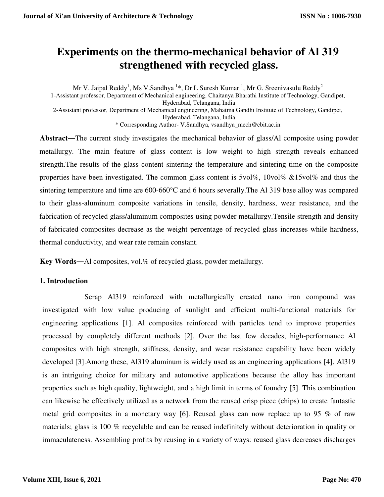# **Experiments on the thermo-mechanical behavior of Al 319 strengthened with recycled glass.**

Mr V. Jaipal Reddy<sup>1</sup>, Ms V.Sandhya <sup>1</sup>\*, Dr L Suresh Kumar <sup>1</sup>, Mr G. Sreenivasulu Reddy<sup>2</sup> 1-Assistant professor, Department of Mechanical engineering, Chaitanya Bharathi Institute of Technology, Gandipet, Hyderabad, Telangana, India 2-Assistant professor, Department of Mechanical engineering, Mahatma Gandhi Institute of Technology, Gandipet, Hyderabad, Telangana, India \* Corresponding Author- V.Sandhya, vsandhya\_mech@cbit.ac.in

**Abstract**―The current study investigates the mechanical behavior of glass/Al composite using powder metallurgy. The main feature of glass content is low weight to high strength reveals enhanced strength.The results of the glass content sintering the temperature and sintering time on the composite properties have been investigated. The common glass content is 5vol%, 10vol% &15vol% and thus the sintering temperature and time are 600-660°C and 6 hours severally.The Al 319 base alloy was compared to their glass-aluminum composite variations in tensile, density, hardness, wear resistance, and the fabrication of recycled glass/aluminum composites using powder metallurgy.Tensile strength and density of fabricated composites decrease as the weight percentage of recycled glass increases while hardness, thermal conductivity, and wear rate remain constant.

**Key Words**―Al composites, vol.% of recycled glass, powder metallurgy.

### **1. Introduction**

Scrap Al319 reinforced with metallurgically created nano iron compound was investigated with low value producing of sunlight and efficient multi-functional materials for engineering applications [1]. Al composites reinforced with particles tend to improve properties processed by completely different methods [2]. Over the last few decades, high-performance Al composites with high strength, stiffness, density, and wear resistance capability have been widely developed [3].Among these, Al319 aluminum is widely used as an engineering applications [4]. Al319 is an intriguing choice for military and automotive applications because the alloy has important properties such as high quality, lightweight, and a high limit in terms of foundry [5]. This combination can likewise be effectively utilized as a network from the reused crisp piece (chips) to create fantastic metal grid composites in a monetary way [6]. Reused glass can now replace up to 95 % of raw materials; glass is 100 % recyclable and can be reused indefinitely without deterioration in quality or immaculateness. Assembling profits by reusing in a variety of ways: reused glass decreases discharges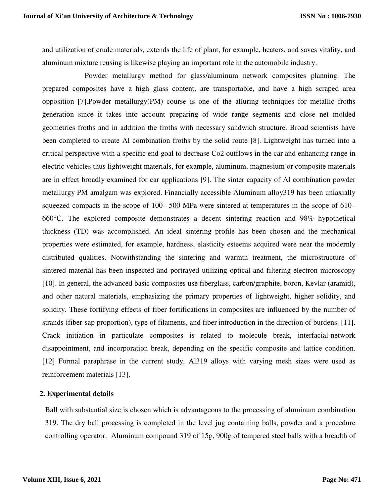and utilization of crude materials, extends the life of plant, for example, heaters, and saves vitality, and aluminum mixture reusing is likewise playing an important role in the automobile industry.

Powder metallurgy method for glass/aluminum network composites planning. The prepared composites have a high glass content, are transportable, and have a high scraped area opposition [7].Powder metallurgy(PM) course is one of the alluring techniques for metallic froths generation since it takes into account preparing of wide range segments and close net molded geometries froths and in addition the froths with necessary sandwich structure. Broad scientists have been completed to create Al combination froths by the solid route [8]. Lightweight has turned into a critical perspective with a specific end goal to decrease Co2 outflows in the car and enhancing range in electric vehicles thus lightweight materials, for example, aluminum, magnesium or composite materials are in effect broadly examined for car applications [9]. The sinter capacity of Al combination powder metallurgy PM amalgam was explored. Financially accessible Aluminum alloy319 has been uniaxially squeezed compacts in the scope of 100– 500 MPa were sintered at temperatures in the scope of 610– 660°C. The explored composite demonstrates a decent sintering reaction and 98% hypothetical thickness (TD) was accomplished. An ideal sintering profile has been chosen and the mechanical properties were estimated, for example, hardness, elasticity esteems acquired were near the modernly distributed qualities. Notwithstanding the sintering and warmth treatment, the microstructure of sintered material has been inspected and portrayed utilizing optical and filtering electron microscopy [10]. In general, the advanced basic composites use fiberglass, carbon/graphite, boron, Kevlar (aramid), and other natural materials, emphasizing the primary properties of lightweight, higher solidity, and solidity. These fortifying effects of fiber fortifications in composites are influenced by the number of strands (fiber-sap proportion), type of filaments, and fiber introduction in the direction of burdens. [11]. Crack initiation in particulate composites is related to molecule break, interfacial-network disappointment, and incorporation break, depending on the specific composite and lattice condition. [12] Formal paraphrase in the current study, Al319 alloys with varying mesh sizes were used as reinforcement materials [13].

#### **2. Experimental details**

Ball with substantial size is chosen which is advantageous to the processing of aluminum combination 319. The dry ball processing is completed in the level jug containing balls, powder and a procedure controlling operator. Aluminum compound 319 of 15g, 900g of tempered steel balls with a breadth of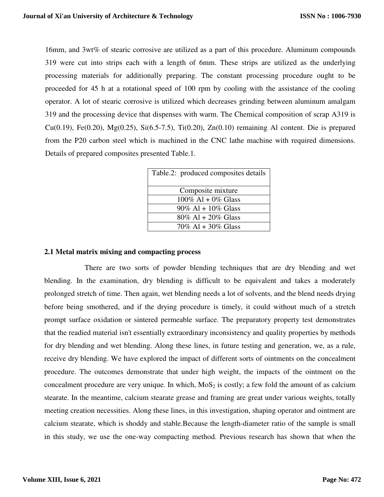16mm, and 3wt% of stearic corrosive are utilized as a part of this procedure. Aluminum compounds 319 were cut into strips each with a length of 6mm. These strips are utilized as the underlying processing materials for additionally preparing. The constant processing procedure ought to be proceeded for 45 h at a rotational speed of 100 rpm by cooling with the assistance of the cooling operator. A lot of stearic corrosive is utilized which decreases grinding between aluminum amalgam 319 and the processing device that dispenses with warm. The Chemical composition of scrap A319 is Cu(0.19), Fe(0.20), Mg(0.25), Si(6.5-7.5), Ti(0.20), Zn(0.10) remaining Al content. Die is prepared from the P20 carbon steel which is machined in the CNC lathe machine with required dimensions. Details of prepared composites presented Table.1.

| Table.2: produced composites details |
|--------------------------------------|
| Composite mixture                    |
| $100\%$ Al + 0% Glass                |
| $90\%$ Al + $10\%$ Glass             |
| $80\%$ Al + 20% Glass                |
| 70% Al + 30% Glass                   |

### **2.1 Metal matrix mixing and compacting process**

There are two sorts of powder blending techniques that are dry blending and wet blending. In the examination, dry blending is difficult to be equivalent and takes a moderately prolonged stretch of time. Then again, wet blending needs a lot of solvents, and the blend needs drying before being smothered, and if the drying procedure is timely, it could without much of a stretch prompt surface oxidation or sintered permeable surface. The preparatory property test demonstrates that the readied material isn't essentially extraordinary inconsistency and quality properties by methods for dry blending and wet blending. Along these lines, in future testing and generation, we, as a rule, receive dry blending. We have explored the impact of different sorts of ointments on the concealment procedure. The outcomes demonstrate that under high weight, the impacts of the ointment on the concealment procedure are very unique. In which,  $MoS<sub>2</sub>$  is costly; a few fold the amount of as calcium stearate. In the meantime, calcium stearate grease and framing are great under various weights, totally meeting creation necessities. Along these lines, in this investigation, shaping operator and ointment are calcium stearate, which is shoddy and stable.Because the length-diameter ratio of the sample is small in this study, we use the one-way compacting method. Previous research has shown that when the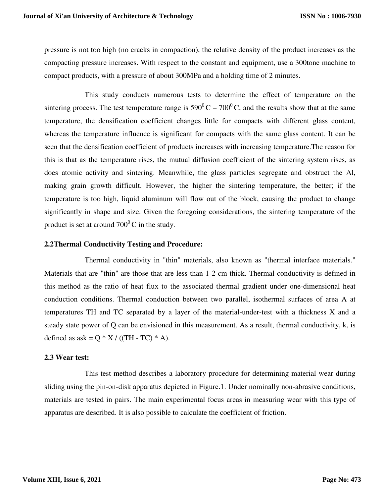pressure is not too high (no cracks in compaction), the relative density of the product increases as the compacting pressure increases. With respect to the constant and equipment, use a 300tone machine to compact products, with a pressure of about 300MPa and a holding time of 2 minutes.

This study conducts numerous tests to determine the effect of temperature on the sintering process. The test temperature range is  $590^{\circ}$ C –  $700^{\circ}$ C, and the results show that at the same temperature, the densification coefficient changes little for compacts with different glass content, whereas the temperature influence is significant for compacts with the same glass content. It can be seen that the densification coefficient of products increases with increasing temperature.The reason for this is that as the temperature rises, the mutual diffusion coefficient of the sintering system rises, as does atomic activity and sintering. Meanwhile, the glass particles segregate and obstruct the Al, making grain growth difficult. However, the higher the sintering temperature, the better; if the temperature is too high, liquid aluminum will flow out of the block, causing the product to change significantly in shape and size. Given the foregoing considerations, the sintering temperature of the product is set at around  $700^{\circ}$ C in the study.

#### **2.2Thermal Conductivity Testing and Procedure:**

Thermal conductivity in "thin" materials, also known as "thermal interface materials." Materials that are "thin" are those that are less than 1-2 cm thick. Thermal conductivity is defined in this method as the ratio of heat flux to the associated thermal gradient under one-dimensional heat conduction conditions. Thermal conduction between two parallel, isothermal surfaces of area A at temperatures TH and TC separated by a layer of the material-under-test with a thickness X and a steady state power of Q can be envisioned in this measurement. As a result, thermal conductivity, k, is defined as  $ask = Q * X / ((TH - TC) * A)$ .

#### **2.3 Wear test:**

This test method describes a laboratory procedure for determining material wear during sliding using the pin-on-disk apparatus depicted in Figure.1. Under nominally non-abrasive conditions, materials are tested in pairs. The main experimental focus areas in measuring wear with this type of apparatus are described. It is also possible to calculate the coefficient of friction.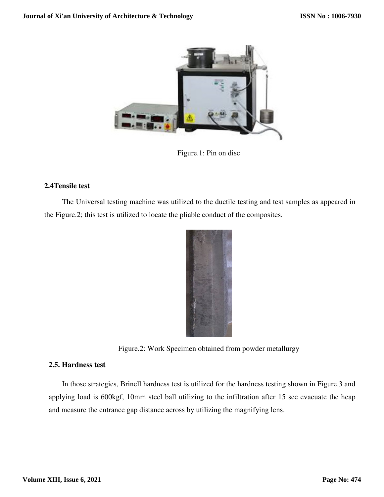

Figure.1: Pin on disc

# **2.4Tensile test**

The Universal testing machine was utilized to the ductile testing and test samples as appeared in the Figure.2; this test is utilized to locate the pliable conduct of the composites.



Figure.2: Work Specimen obtained from powder metallurgy

### **2.5. Hardness test**

In those strategies, Brinell hardness test is utilized for the hardness testing shown in Figure.3 and applying load is 600kgf, 10mm steel ball utilizing to the infiltration after 15 sec evacuate the heap and measure the entrance gap distance across by utilizing the magnifying lens.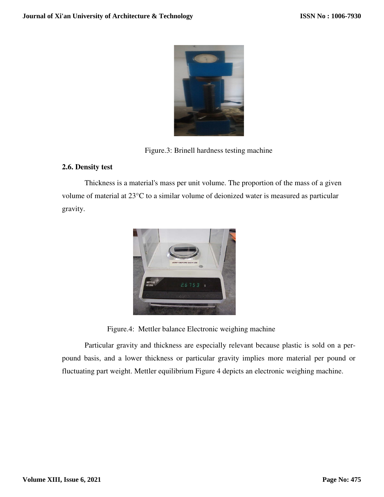

Figure.3: Brinell hardness testing machine

# **2.6. Density test**

Thickness is a material's mass per unit volume. The proportion of the mass of a given volume of material at 23°C to a similar volume of deionized water is measured as particular gravity.



Figure.4: Mettler balance Electronic weighing machine

Particular gravity and thickness are especially relevant because plastic is sold on a perpound basis, and a lower thickness or particular gravity implies more material per pound or fluctuating part weight. Mettler equilibrium Figure 4 depicts an electronic weighing machine.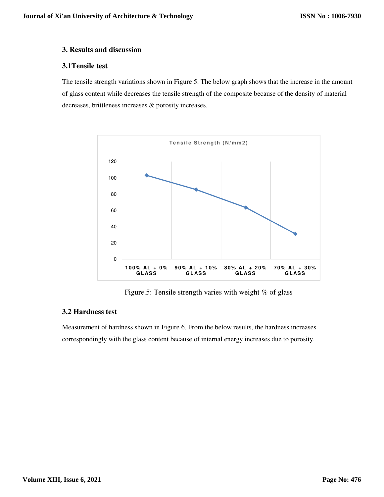#### **3. Results and discussion**

#### **3.1Tensile test**

The tensile strength variations shown in Figure 5. The below graph shows that the increase in the amount of glass content while decreases the tensile strength of the composite because of the density of material decreases, brittleness increases & porosity increases.



Figure.5: Tensile strength varies with weight % of glass

# **3.2 Hardness test**

Measurement of hardness shown in Figure 6. From the below results, the hardness increases correspondingly with the glass content because of internal energy increases due to porosity.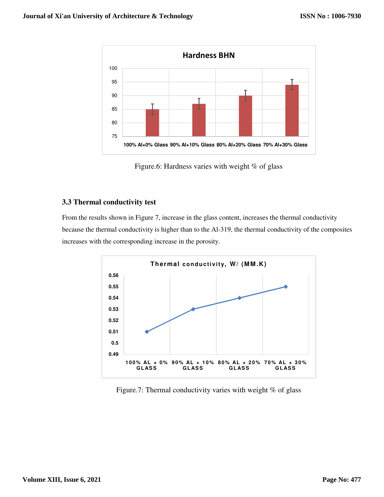

Figure.6: Hardness varies with weight % of glass

### **3.3 Thermal conductivity test**

From the results shown in Figure 7, increase in the glass content, increases the thermal conductivity because the thermal conductivity is higher than to the Al-319, the thermal conductivity of the composites increases with the corresponding increase in the porosity.



Figure.7: Thermal conductivity varies with weight % of glass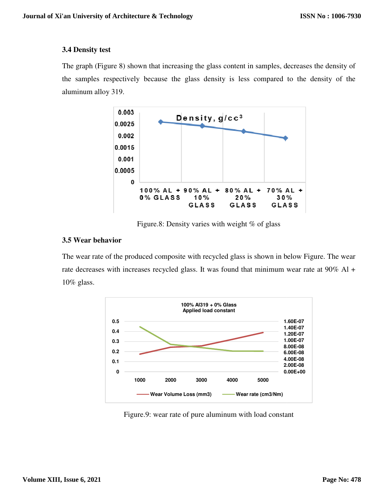### **3.4 Density test**

The graph (Figure 8) shown that increasing the glass content in samples, decreases the density of The graph (Figure 8) shown that increasing the glass content in samples, decreases the density of the samples respectively because the glass density is less compared to the density of the aluminum alloy 319.



Figure.8: Density varies with weight % of glass

# **3.5 Wear behavior**

The wear rate of the produced composite with recycled glass is shown in below Figure. The wear rate decreases with increases recycled glass. It was found that minimum wear rate at 90% Al + 10% glass.



Figure.9: wear rate of pure aluminum with load constant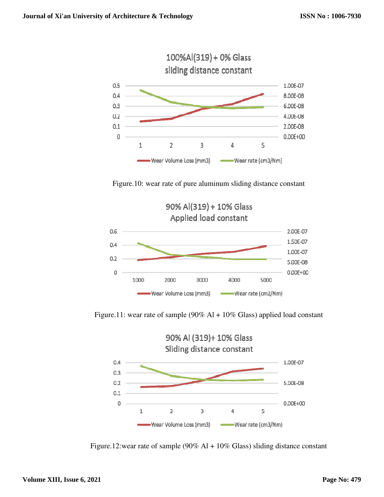

Figure.10: wear rate of pure aluminum sliding distance constant



Figure.11: wear rate of sample (90% Al + 10% Glass) applied load constant



Figure.12:wear rate of sample (90% Al + 10% Glass) sliding distance constant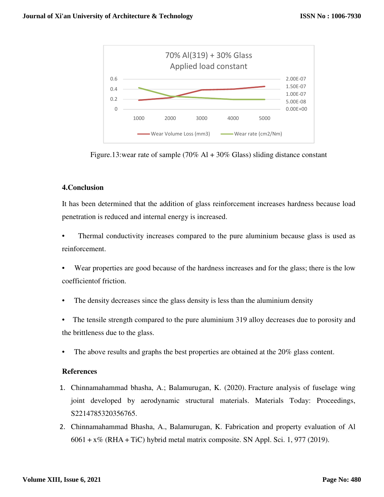

Figure.13:wear rate of sample (70% Al + 30% Glass) sliding distance constant

# **4.Conclusion**

It has been determined that the addition of glass reinforcement increases hardness because load penetration is reduced and internal energy is increased.

Thermal conductivity increases compared to the pure aluminium because glass is used as reinforcement.

• Wear properties are good because of the hardness increases and for the glass; there is the low coefficientof friction.

The density decreases since the glass density is less than the aluminium density

The tensile strength compared to the pure aluminium 319 alloy decreases due to porosity and the brittleness due to the glass.

• The above results and graphs the best properties are obtained at the 20% glass content.

### **References**

- 1. Chinnamahammad bhasha, A.; Balamurugan, K. (2020). Fracture analysis of fuselage wing joint developed by aerodynamic structural materials. Materials Today: Proceedings, S2214785320356765.
- 2. Chinnamahammad Bhasha, A., Balamurugan, K. Fabrication and property evaluation of Al  $6061 + x\%$  (RHA + TiC) hybrid metal matrix composite. SN Appl. Sci. 1, 977 (2019).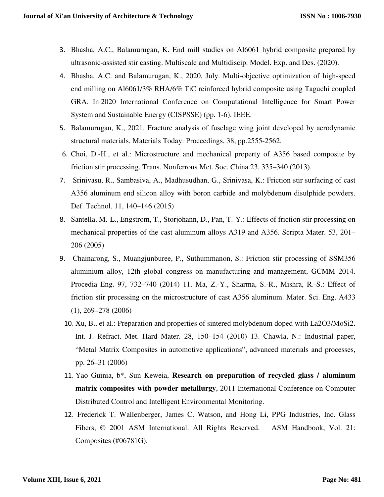- 3. Bhasha, A.C., Balamurugan, K. End mill studies on Al6061 hybrid composite prepared by ultrasonic-assisted stir casting. Multiscale and Multidiscip. Model. Exp. and Des. (2020).
- 4. Bhasha, A.C. and Balamurugan, K., 2020, July. Multi-objective optimization of high-speed end milling on Al6061/3% RHA/6% TiC reinforced hybrid composite using Taguchi coupled GRA. In 2020 International Conference on Computational Intelligence for Smart Power System and Sustainable Energy (CISPSSE) (pp. 1-6). IEEE.
- 5. Balamurugan, K., 2021. Fracture analysis of fuselage wing joint developed by aerodynamic structural materials. Materials Today: Proceedings, 38, pp.2555-2562.
- 6. Choi, D.-H., et al.: Microstructure and mechanical property of A356 based composite by friction stir processing. Trans. Nonferrous Met. Soc. China 23, 335–340 (2013).
- 7. Srinivasu, R., Sambasiva, A., Madhusudhan, G., Srinivasa, K.: Friction stir surfacing of cast A356 aluminum end silicon alloy with boron carbide and molybdenum disulphide powders. Def. Technol. 11, 140–146 (2015)
- 8. Santella, M.-L., Engstrom, T., Storjohann, D., Pan, T.-Y.: Effects of friction stir processing on mechanical properties of the cast aluminum alloys A319 and A356. Scripta Mater. 53, 201– 206 (2005)
- 9. Chainarong, S., Muangjunburee, P., Suthummanon, S.: Friction stir processing of SSM356 aluminium alloy, 12th global congress on manufacturing and management, GCMM 2014. Procedia Eng. 97, 732–740 (2014) 11. Ma, Z.-Y., Sharma, S.-R., Mishra, R.-S.: Effect of friction stir processing on the microstructure of cast A356 aluminum. Mater. Sci. Eng. A433 (1), 269–278 (2006)
	- 10. Xu, B., et al.: Preparation and properties of sintered molybdenum doped with La2O3/MoSi2. Int. J. Refract. Met. Hard Mater. 28, 150–154 (2010) 13. Chawla, N.: Industrial paper, "Metal Matrix Composites in automotive applications", advanced materials and processes, pp. 26–31 (2006)
	- 11. Yao Guinia, b\*, Sun Keweia, **Research on preparation of recycled glass / aluminum matrix composites with powder metallurgy**, 2011 International Conference on Computer Distributed Control and Intelligent Environmental Monitoring.
	- 12. Frederick T. Wallenberger, James C. Watson, and Hong Li, PPG Industries, Inc. Glass Fibers, © 2001 ASM International. All Rights Reserved. ASM Handbook, Vol. 21: Composites (#06781G).